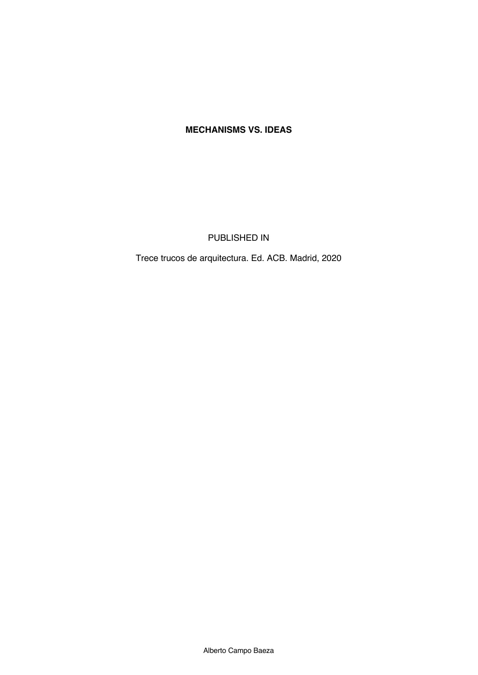## **MECHANISMS VS. IDEAS**

PUBLISHED IN

Trece trucos de arquitectura. Ed. ACB. Madrid, 2020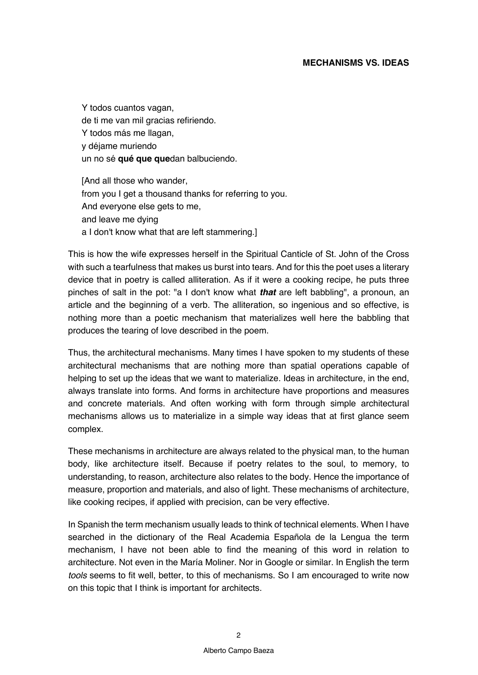## **MECHANISMS VS. IDEAS**

Y todos cuantos vagan, de ti me van mil gracias refiriendo. Y todos más me llagan, y déjame muriendo un no sé **qué que que**dan balbuciendo.

[And all those who wander, from you I get a thousand thanks for referring to you. And everyone else gets to me, and leave me dying a I don't know what that are left stammering.]

This is how the wife expresses herself in the Spiritual Canticle of St. John of the Cross with such a tearfulness that makes us burst into tears. And for this the poet uses a literary device that in poetry is called alliteration. As if it were a cooking recipe, he puts three pinches of salt in the pot: "a I don't know what *that* are left babbling", a pronoun, an article and the beginning of a verb. The alliteration, so ingenious and so effective, is nothing more than a poetic mechanism that materializes well here the babbling that produces the tearing of love described in the poem.

Thus, the architectural mechanisms. Many times I have spoken to my students of these architectural mechanisms that are nothing more than spatial operations capable of helping to set up the ideas that we want to materialize. Ideas in architecture, in the end, always translate into forms. And forms in architecture have proportions and measures and concrete materials. And often working with form through simple architectural mechanisms allows us to materialize in a simple way ideas that at first glance seem complex.

These mechanisms in architecture are always related to the physical man, to the human body, like architecture itself. Because if poetry relates to the soul, to memory, to understanding, to reason, architecture also relates to the body. Hence the importance of measure, proportion and materials, and also of light. These mechanisms of architecture, like cooking recipes, if applied with precision, can be very effective.

In Spanish the term mechanism usually leads to think of technical elements. When I have searched in the dictionary of the Real Academia Española de la Lengua the term mechanism, I have not been able to find the meaning of this word in relation to architecture. Not even in the María Moliner. Nor in Google or similar. In English the term *tools* seems to fit well, better, to this of mechanisms. So I am encouraged to write now on this topic that I think is important for architects.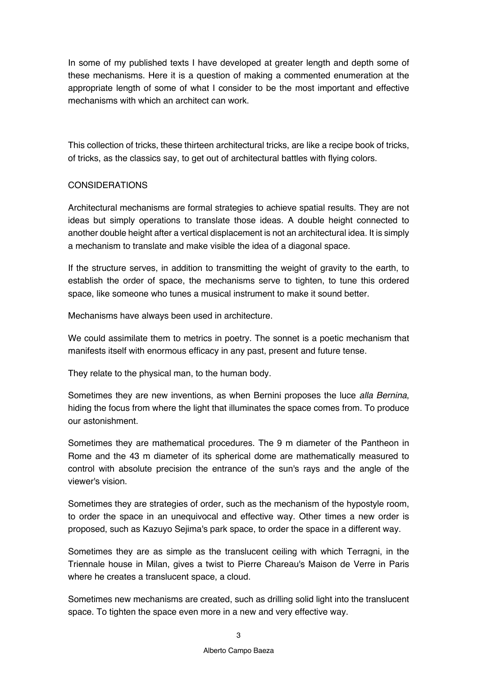In some of my published texts I have developed at greater length and depth some of these mechanisms. Here it is a question of making a commented enumeration at the appropriate length of some of what I consider to be the most important and effective mechanisms with which an architect can work.

This collection of tricks, these thirteen architectural tricks, are like a recipe book of tricks, of tricks, as the classics say, to get out of architectural battles with flying colors.

## CONSIDERATIONS

Architectural mechanisms are formal strategies to achieve spatial results. They are not ideas but simply operations to translate those ideas. A double height connected to another double height after a vertical displacement is not an architectural idea. It is simply a mechanism to translate and make visible the idea of a diagonal space.

If the structure serves, in addition to transmitting the weight of gravity to the earth, to establish the order of space, the mechanisms serve to tighten, to tune this ordered space, like someone who tunes a musical instrument to make it sound better.

Mechanisms have always been used in architecture.

We could assimilate them to metrics in poetry. The sonnet is a poetic mechanism that manifests itself with enormous efficacy in any past, present and future tense.

They relate to the physical man, to the human body.

Sometimes they are new inventions, as when Bernini proposes the luce *alla Bernina*, hiding the focus from where the light that illuminates the space comes from. To produce our astonishment.

Sometimes they are mathematical procedures. The 9 m diameter of the Pantheon in Rome and the 43 m diameter of its spherical dome are mathematically measured to control with absolute precision the entrance of the sun's rays and the angle of the viewer's vision.

Sometimes they are strategies of order, such as the mechanism of the hypostyle room, to order the space in an unequivocal and effective way. Other times a new order is proposed, such as Kazuyo Sejima's park space, to order the space in a different way.

Sometimes they are as simple as the translucent ceiling with which Terragni, in the Triennale house in Milan, gives a twist to Pierre Chareau's Maison de Verre in Paris where he creates a translucent space, a cloud.

Sometimes new mechanisms are created, such as drilling solid light into the translucent space. To tighten the space even more in a new and very effective way.